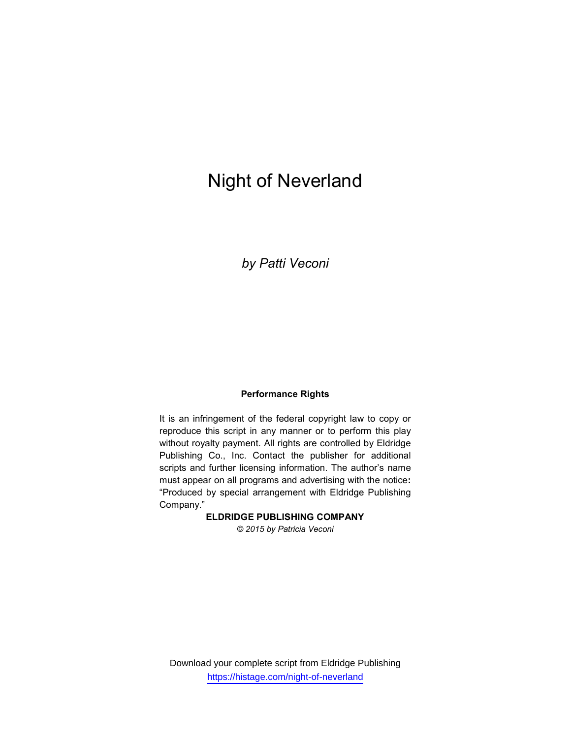# Night of Neverland

by Patti Veconi

#### Performance Rights

It is an infringement of the federal copyright law to copy or reproduce this script in any manner or to perform this play without royalty payment. All rights are controlled by Eldridge Publishing Co., Inc. Contact the publisher for additional scripts and further licensing information. The author's name must appear on all programs and advertising with the notice: "Produced by special arrangement with Eldridge Publishing Company."

#### ELDRIDGE PUBLISHING COMPANY

© 2015 by Patricia Veconi

Download your complete script from Eldridge Publishing https://histage.com/night-of-neverland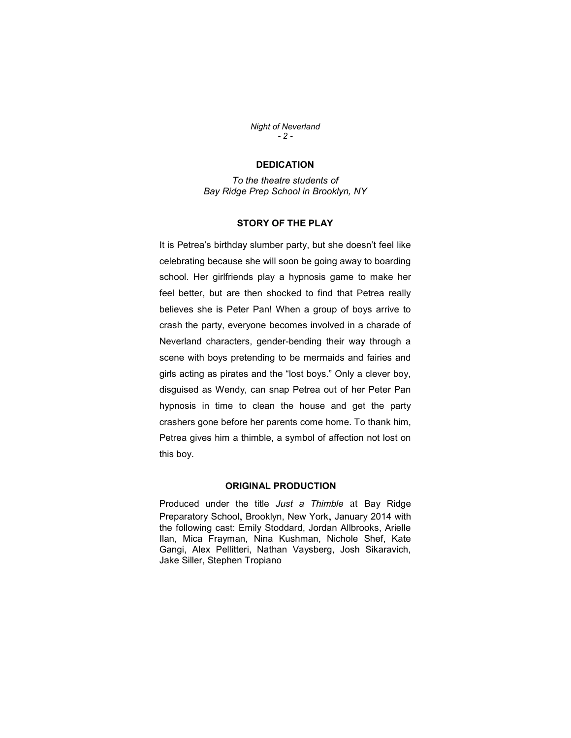Night of Neverland  $-2 -$ 

#### **DEDICATION**

To the theatre students of Bay Ridge Prep School in Brooklyn, NY

## STORY OF THE PLAY

It is Petrea's birthday slumber party, but she doesn't feel like celebrating because she will soon be going away to boarding school. Her girlfriends play a hypnosis game to make her feel better, but are then shocked to find that Petrea really believes she is Peter Pan! When a group of boys arrive to crash the party, everyone becomes involved in a charade of Neverland characters, gender-bending their way through a scene with boys pretending to be mermaids and fairies and girls acting as pirates and the "lost boys." Only a clever boy, disguised as Wendy, can snap Petrea out of her Peter Pan hypnosis in time to clean the house and get the party crashers gone before her parents come home. To thank him, Petrea gives him a thimble, a symbol of affection not lost on this boy.

#### ORIGINAL PRODUCTION

Produced under the title Just a Thimble at Bay Ridge Preparatory School, Brooklyn, New York, January 2014 with the following cast: Emily Stoddard, Jordan Allbrooks, Arielle Ilan, Mica Frayman, Nina Kushman, Nichole Shef, Kate Gangi, Alex Pellitteri, Nathan Vaysberg, Josh Sikaravich, Jake Siller, Stephen Tropiano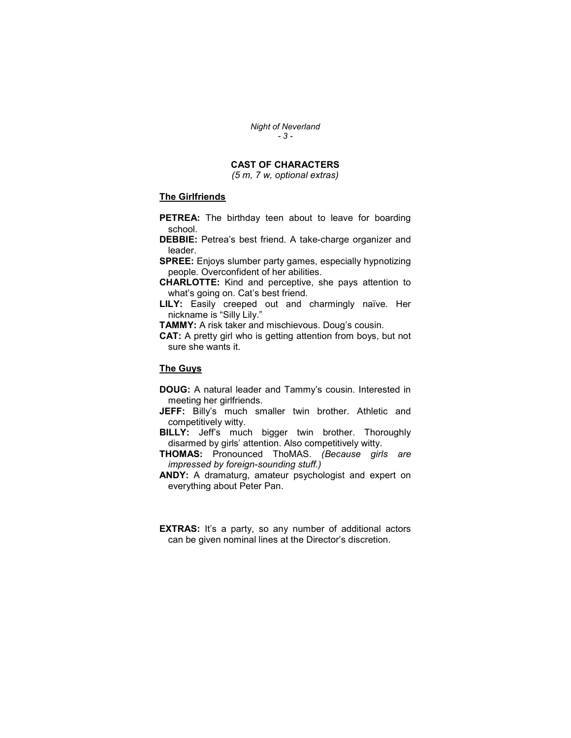Night of Neverland  $- 3 -$ 

# CAST OF CHARACTERS

(5 m, 7 w, optional extras)

# The Girlfriends

- **PETREA:** The birthday teen about to leave for boarding school.
- DEBBIE: Petrea's best friend. A take-charge organizer and leader.
- SPREE: Enjoys slumber party games, especially hypnotizing people. Overconfident of her abilities.
- CHARLOTTE: Kind and perceptive, she pays attention to what's going on. Cat's best friend.
- LILY: Easily creeped out and charmingly naïve. Her nickname is "Silly Lily."
- TAMMY: A risk taker and mischievous. Doug's cousin.
- CAT: A pretty girl who is getting attention from boys, but not sure she wants it.

# The Guys

- DOUG: A natural leader and Tammy's cousin. Interested in meeting her girlfriends.
- JEFF: Billy's much smaller twin brother. Athletic and competitively witty.
- **BILLY:** Jeff's much bigger twin brother. Thoroughly disarmed by girls' attention. Also competitively witty.
- THOMAS: Pronounced ThoMAS. (Because girls are impressed by foreign-sounding stuff.)
- ANDY: A dramaturg, amateur psychologist and expert on everything about Peter Pan.
- **EXTRAS:** It's a party, so any number of additional actors can be given nominal lines at the Director's discretion.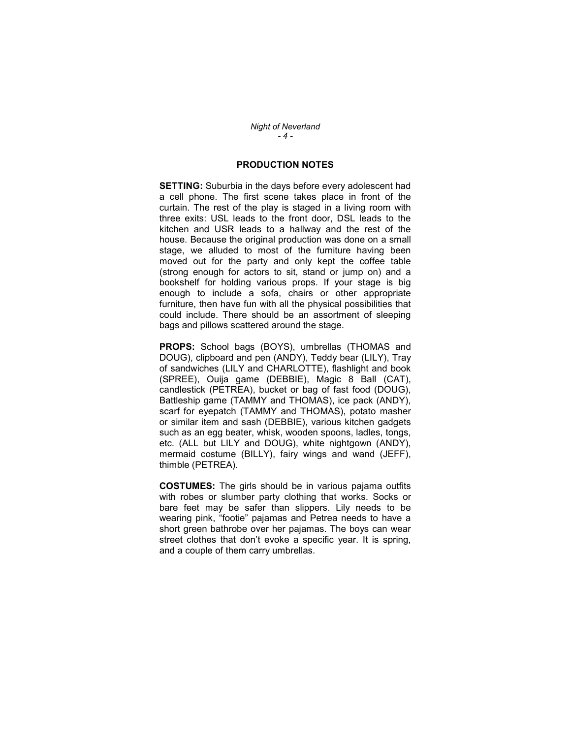Night of Neverland  $-4-$ 

# PRODUCTION NOTES

**SETTING:** Suburbia in the days before every adolescent had a cell phone. The first scene takes place in front of the curtain. The rest of the play is staged in a living room with three exits: USL leads to the front door, DSL leads to the kitchen and USR leads to a hallway and the rest of the house. Because the original production was done on a small stage, we alluded to most of the furniture having been moved out for the party and only kept the coffee table (strong enough for actors to sit, stand or jump on) and a bookshelf for holding various props. If your stage is big enough to include a sofa, chairs or other appropriate furniture, then have fun with all the physical possibilities that could include. There should be an assortment of sleeping bags and pillows scattered around the stage.

PROPS: School bags (BOYS), umbrellas (THOMAS and DOUG), clipboard and pen (ANDY), Teddy bear (LILY), Tray of sandwiches (LILY and CHARLOTTE), flashlight and book (SPREE), Ouija game (DEBBIE), Magic 8 Ball (CAT), candlestick (PETREA), bucket or bag of fast food (DOUG), Battleship game (TAMMY and THOMAS), ice pack (ANDY), scarf for eyepatch (TAMMY and THOMAS), potato masher or similar item and sash (DEBBIE), various kitchen gadgets such as an egg beater, whisk, wooden spoons, ladles, tongs, etc. (ALL but LILY and DOUG), white nightgown (ANDY), mermaid costume (BILLY), fairy wings and wand (JEFF), thimble (PETREA).

COSTUMES: The girls should be in various pajama outfits with robes or slumber party clothing that works. Socks or bare feet may be safer than slippers. Lily needs to be wearing pink, "footie" pajamas and Petrea needs to have a short green bathrobe over her pajamas. The boys can wear street clothes that don't evoke a specific year. It is spring, and a couple of them carry umbrellas.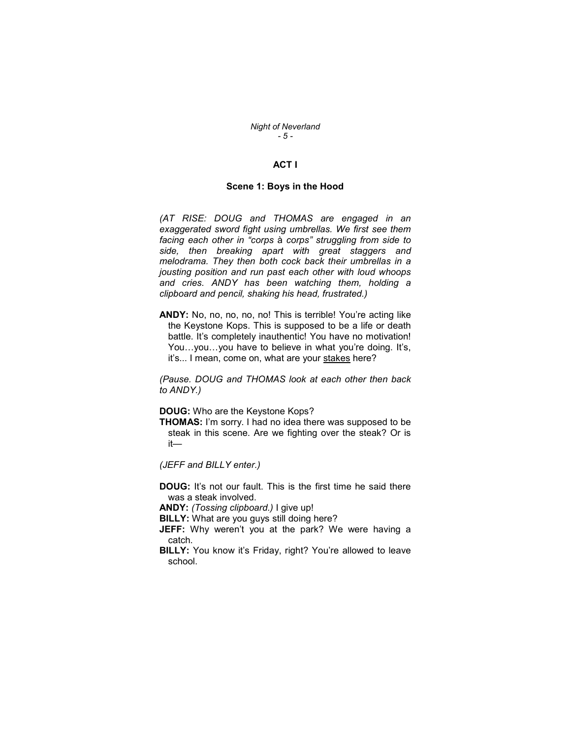Night of Neverland - 5 -

# ACT I

#### Scene 1: Boys in the Hood

(AT RISE: DOUG and THOMAS are engaged in an exaggerated sword fight using umbrellas. We first see them facing each other in "corps à corps" struggling from side to side, then breaking apart with great staggers and melodrama. They then both cock back their umbrellas in a jousting position and run past each other with loud whoops and cries. ANDY has been watching them, holding a clipboard and pencil, shaking his head, frustrated.)

ANDY: No, no, no, no, no! This is terrible! You're acting like the Keystone Kops. This is supposed to be a life or death battle. It's completely inauthentic! You have no motivation! You...you...you have to believe in what you're doing. It's, it's... I mean, come on, what are your stakes here?

(Pause. DOUG and THOMAS look at each other then back to ANDY.)

DOUG: Who are the Keystone Kops?

THOMAS: I'm sorry. I had no idea there was supposed to be steak in this scene. Are we fighting over the steak? Or is it—

(JEFF and BILLY enter.)

DOUG: It's not our fault. This is the first time he said there was a steak involved.

ANDY: (Tossing clipboard.) I give up!

**BILLY:** What are you guys still doing here?

- JEFF: Why weren't you at the park? We were having a catch.
- **BILLY:** You know it's Friday, right? You're allowed to leave school.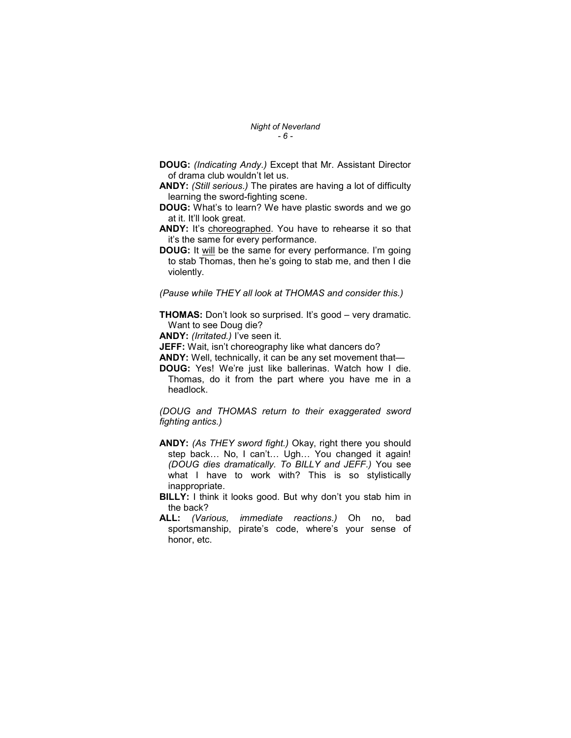Night of Neverland  $-6 -$ 

- DOUG: (Indicating Andy.) Except that Mr. Assistant Director of drama club wouldn't let us.
- ANDY: (Still serious.) The pirates are having a lot of difficulty learning the sword-fighting scene.
- DOUG: What's to learn? We have plastic swords and we go at it. It'll look great.
- ANDY: It's choreographed. You have to rehearse it so that it's the same for every performance.
- DOUG: It will be the same for every performance. I'm going to stab Thomas, then he's going to stab me, and then I die violently.

(Pause while THEY all look at THOMAS and consider this.)

**THOMAS:** Don't look so surprised. It's good – very dramatic. Want to see Doug die?

ANDY: (Irritated.) I've seen it.

- **JEFF:** Wait, isn't choreography like what dancers do?
- ANDY: Well, technically, it can be any set movement that-
- DOUG: Yes! We're just like ballerinas. Watch how I die. Thomas, do it from the part where you have me in a headlock.

(DOUG and THOMAS return to their exaggerated sword fighting antics.)

- ANDY: (As THEY sword fight.) Okay, right there you should step back… No, I can't… Ugh… You changed it again! (DOUG dies dramatically. To BILLY and JEFF.) You see what I have to work with? This is so stylistically inappropriate.
- BILLY: I think it looks good. But why don't you stab him in the back?
- ALL: (Various, immediate reactions.) Oh no, bad sportsmanship, pirate's code, where's your sense of honor, etc.